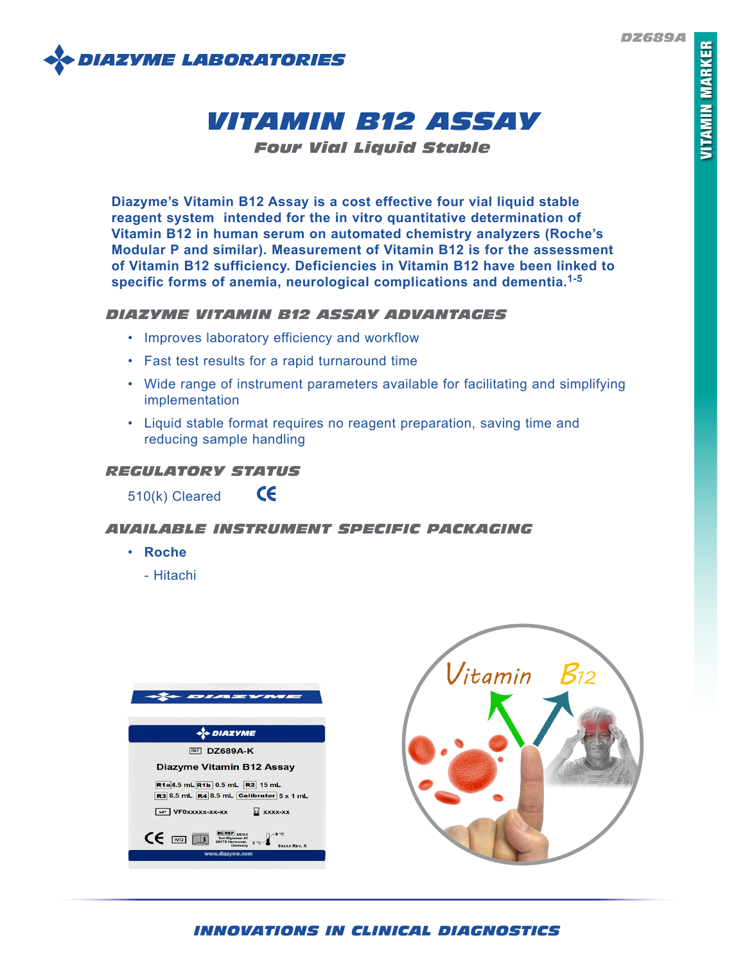*DZ689A*



# *VITAMIN B12 ASSAY*

*Four Vial Liquid Stable*

**Diazyme's Vitamin B12 Assay is a cost effective four vial liquid stable reagent system intended for the in vitro quantitative determination of Vitamin B12 in human serum on automated chemistry analyzers (Roche's Modular P and similar). Measurement of Vitamin B12 is for the assessment of Vitamin B12 sufficiency. Deficiencies in Vitamin B12 have been linked to specific forms of anemia, neurological complications and dementia.1-5**

## *DIAZYME VITAMIN B12 ASSAY ADVANTAGES*

- Improves laboratory efficiency and workflow
- Fast test results for a rapid turnaround time
- Wide range of instrument parameters available for facilitating and simplifying implementation
- Liquid stable format requires no reagent preparation, saving time and reducing sample handling

# *REGULATORY STATUS*

 $\epsilon$ 510(k) Cleared

# *AVAILABLE INSTRUMENT SPECIFIC PACKAGING*

- **Roche**
	- Hitachi





# *INNOVATIONS IN CLINICAL DIAGNOSTICS*